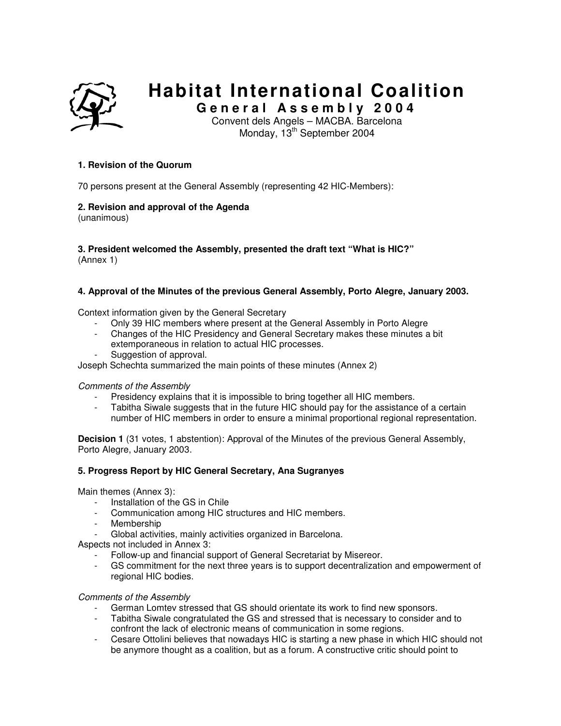

# **Habitat International Coalition**

**G e n e r a l A s s e m b l y 2 0 0 4** 

Convent dels Angels – MACBA. Barcelona Monday, 13<sup>th</sup> September 2004

## **1. Revision of the Quorum**

70 persons present at the General Assembly (representing 42 HIC-Members):

# **2. Revision and approval of the Agenda**

(unanimous)

#### **3. President welcomed the Assembly, presented the draft text "What is HIC?"**  (Annex 1)

# **4. Approval of the Minutes of the previous General Assembly, Porto Alegre, January 2003.**

Context information given by the General Secretary

- Only 39 HIC members where present at the General Assembly in Porto Alegre
- Changes of the HIC Presidency and General Secretary makes these minutes a bit extemporaneous in relation to actual HIC processes.
- Suggestion of approval.

Joseph Schechta summarized the main points of these minutes (Annex 2)

#### Comments of the Assembly

- Presidency explains that it is impossible to bring together all HIC members.
- Tabitha Siwale suggests that in the future HIC should pay for the assistance of a certain number of HIC members in order to ensure a minimal proportional regional representation.

**Decision 1** (31 votes, 1 abstention): Approval of the Minutes of the previous General Assembly, Porto Alegre, January 2003.

# **5. Progress Report by HIC General Secretary, Ana Sugranyes**

Main themes (Annex 3):

- Installation of the GS in Chile
- Communication among HIC structures and HIC members.
- **Membership**
- Global activities, mainly activities organized in Barcelona.

Aspects not included in Annex 3:

- Follow-up and financial support of General Secretariat by Misereor.
- GS commitment for the next three years is to support decentralization and empowerment of regional HIC bodies.

#### Comments of the Assembly

- German Lomtev stressed that GS should orientate its work to find new sponsors.
- Tabitha Siwale congratulated the GS and stressed that is necessary to consider and to confront the lack of electronic means of communication in some regions.
- Cesare Ottolini believes that nowadays HIC is starting a new phase in which HIC should not be anymore thought as a coalition, but as a forum. A constructive critic should point to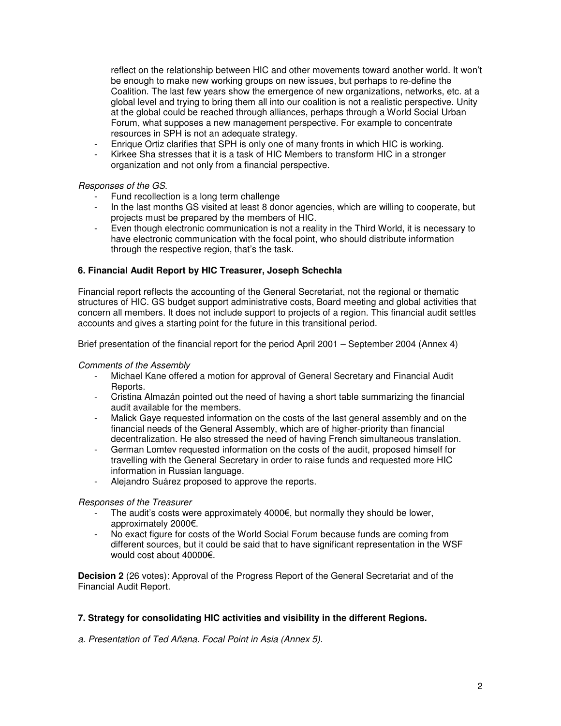reflect on the relationship between HIC and other movements toward another world. It won't be enough to make new working groups on new issues, but perhaps to re-define the Coalition. The last few years show the emergence of new organizations, networks, etc. at a global level and trying to bring them all into our coalition is not a realistic perspective. Unity at the global could be reached through alliances, perhaps through a World Social Urban Forum, what supposes a new management perspective. For example to concentrate resources in SPH is not an adequate strategy.

- Enrique Ortiz clarifies that SPH is only one of many fronts in which HIC is working.
- Kirkee Sha stresses that it is a task of HIC Members to transform HIC in a stronger organization and not only from a financial perspective.

## Responses of the GS.

- Fund recollection is a long term challenge
- In the last months GS visited at least 8 donor agencies, which are willing to cooperate, but projects must be prepared by the members of HIC.
- Even though electronic communication is not a reality in the Third World, it is necessary to have electronic communication with the focal point, who should distribute information through the respective region, that's the task.

## **6. Financial Audit Report by HIC Treasurer, Joseph Schechla**

Financial report reflects the accounting of the General Secretariat, not the regional or thematic structures of HIC. GS budget support administrative costs, Board meeting and global activities that concern all members. It does not include support to projects of a region. This financial audit settles accounts and gives a starting point for the future in this transitional period.

Brief presentation of the financial report for the period April 2001 – September 2004 (Annex 4)

#### Comments of the Assembly

- Michael Kane offered a motion for approval of General Secretary and Financial Audit Reports.
- Cristina Almazán pointed out the need of having a short table summarizing the financial audit available for the members.
- Malick Gaye requested information on the costs of the last general assembly and on the financial needs of the General Assembly, which are of higher-priority than financial decentralization. He also stressed the need of having French simultaneous translation.
- German Lomtev requested information on the costs of the audit, proposed himself for travelling with the General Secretary in order to raise funds and requested more HIC information in Russian language.
- Aleiandro Suárez proposed to approve the reports.

#### Responses of the Treasurer

- The audit's costs were approximately  $4000 \epsilon$ , but normally they should be lower, approximately 2000€.
- No exact figure for costs of the World Social Forum because funds are coming from different sources, but it could be said that to have significant representation in the WSF would cost about 40000€.

**Decision 2** (26 votes): Approval of the Progress Report of the General Secretariat and of the Financial Audit Report.

# **7. Strategy for consolidating HIC activities and visibility in the different Regions.**

a. Presentation of Ted Añana. Focal Point in Asia (Annex 5).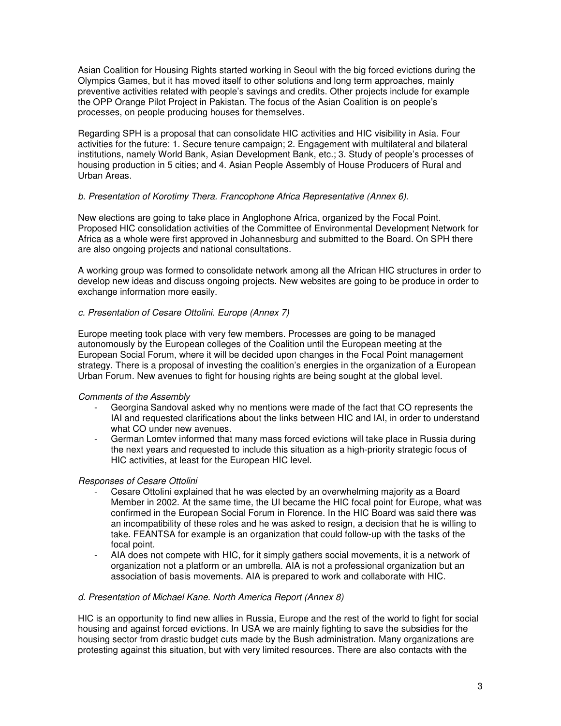Asian Coalition for Housing Rights started working in Seoul with the big forced evictions during the Olympics Games, but it has moved itself to other solutions and long term approaches, mainly preventive activities related with people's savings and credits. Other projects include for example the OPP Orange Pilot Project in Pakistan. The focus of the Asian Coalition is on people's processes, on people producing houses for themselves.

Regarding SPH is a proposal that can consolidate HIC activities and HIC visibility in Asia. Four activities for the future: 1. Secure tenure campaign; 2. Engagement with multilateral and bilateral institutions, namely World Bank, Asian Development Bank, etc.; 3. Study of people's processes of housing production in 5 cities; and 4. Asian People Assembly of House Producers of Rural and Urban Areas.

## b. Presentation of Korotimy Thera. Francophone Africa Representative (Annex 6).

New elections are going to take place in Anglophone Africa, organized by the Focal Point. Proposed HIC consolidation activities of the Committee of Environmental Development Network for Africa as a whole were first approved in Johannesburg and submitted to the Board. On SPH there are also ongoing projects and national consultations.

A working group was formed to consolidate network among all the African HIC structures in order to develop new ideas and discuss ongoing projects. New websites are going to be produce in order to exchange information more easily.

# c. Presentation of Cesare Ottolini. Europe (Annex 7)

Europe meeting took place with very few members. Processes are going to be managed autonomously by the European colleges of the Coalition until the European meeting at the European Social Forum, where it will be decided upon changes in the Focal Point management strategy. There is a proposal of investing the coalition's energies in the organization of a European Urban Forum. New avenues to fight for housing rights are being sought at the global level.

#### Comments of the Assembly

- Georgina Sandoval asked why no mentions were made of the fact that CO represents the IAI and requested clarifications about the links between HIC and IAI, in order to understand what CO under new avenues.
- German Lomtev informed that many mass forced evictions will take place in Russia during the next years and requested to include this situation as a high-priority strategic focus of HIC activities, at least for the European HIC level.

# Responses of Cesare Ottolini

- Cesare Ottolini explained that he was elected by an overwhelming majority as a Board Member in 2002. At the same time, the UI became the HIC focal point for Europe, what was confirmed in the European Social Forum in Florence. In the HIC Board was said there was an incompatibility of these roles and he was asked to resign, a decision that he is willing to take. FEANTSA for example is an organization that could follow-up with the tasks of the focal point.
- AIA does not compete with HIC, for it simply gathers social movements, it is a network of organization not a platform or an umbrella. AIA is not a professional organization but an association of basis movements. AIA is prepared to work and collaborate with HIC.

#### d. Presentation of Michael Kane. North America Report (Annex 8)

HIC is an opportunity to find new allies in Russia, Europe and the rest of the world to fight for social housing and against forced evictions. In USA we are mainly fighting to save the subsidies for the housing sector from drastic budget cuts made by the Bush administration. Many organizations are protesting against this situation, but with very limited resources. There are also contacts with the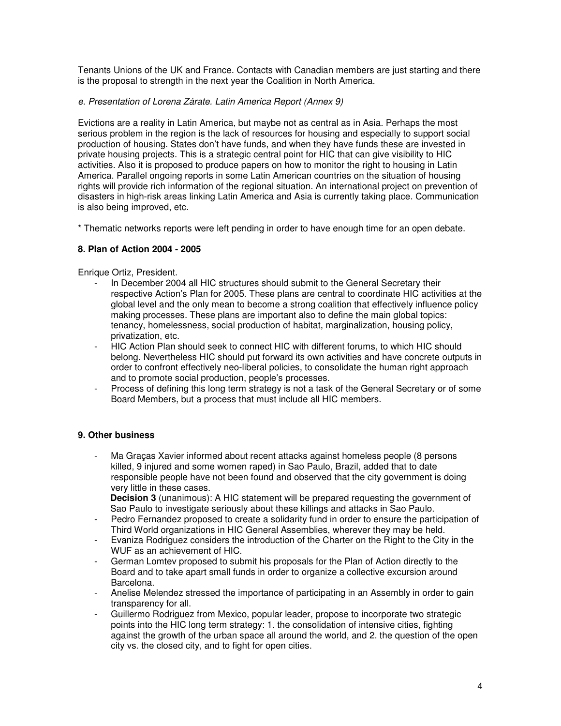Tenants Unions of the UK and France. Contacts with Canadian members are just starting and there is the proposal to strength in the next year the Coalition in North America.

## e. Presentation of Lorena Zárate. Latin America Report (Annex 9)

Evictions are a reality in Latin America, but maybe not as central as in Asia. Perhaps the most serious problem in the region is the lack of resources for housing and especially to support social production of housing. States don't have funds, and when they have funds these are invested in private housing projects. This is a strategic central point for HIC that can give visibility to HIC activities. Also it is proposed to produce papers on how to monitor the right to housing in Latin America. Parallel ongoing reports in some Latin American countries on the situation of housing rights will provide rich information of the regional situation. An international project on prevention of disasters in high-risk areas linking Latin America and Asia is currently taking place. Communication is also being improved, etc.

\* Thematic networks reports were left pending in order to have enough time for an open debate.

# **8. Plan of Action 2004 - 2005**

Enrique Ortiz, President.

- In December 2004 all HIC structures should submit to the General Secretary their respective Action's Plan for 2005. These plans are central to coordinate HIC activities at the global level and the only mean to become a strong coalition that effectively influence policy making processes. These plans are important also to define the main global topics: tenancy, homelessness, social production of habitat, marginalization, housing policy, privatization, etc.
- HIC Action Plan should seek to connect HIC with different forums, to which HIC should belong. Nevertheless HIC should put forward its own activities and have concrete outputs in order to confront effectively neo-liberal policies, to consolidate the human right approach and to promote social production, people's processes.
- Process of defining this long term strategy is not a task of the General Secretary or of some Board Members, but a process that must include all HIC members.

# **9. Other business**

Ma Graças Xavier informed about recent attacks against homeless people (8 persons killed, 9 injured and some women raped) in Sao Paulo, Brazil, added that to date responsible people have not been found and observed that the city government is doing very little in these cases.

**Decision 3** (unanimous): A HIC statement will be prepared requesting the government of Sao Paulo to investigate seriously about these killings and attacks in Sao Paulo.

- Pedro Fernandez proposed to create a solidarity fund in order to ensure the participation of Third World organizations in HIC General Assemblies, wherever they may be held.
- Evaniza Rodriguez considers the introduction of the Charter on the Right to the City in the WUF as an achievement of HIC.
- German Lomtey proposed to submit his proposals for the Plan of Action directly to the Board and to take apart small funds in order to organize a collective excursion around Barcelona.
- Anelise Melendez stressed the importance of participating in an Assembly in order to gain transparency for all.
- Guillermo Rodriguez from Mexico, popular leader, propose to incorporate two strategic points into the HIC long term strategy: 1. the consolidation of intensive cities, fighting against the growth of the urban space all around the world, and 2. the question of the open city vs. the closed city, and to fight for open cities.